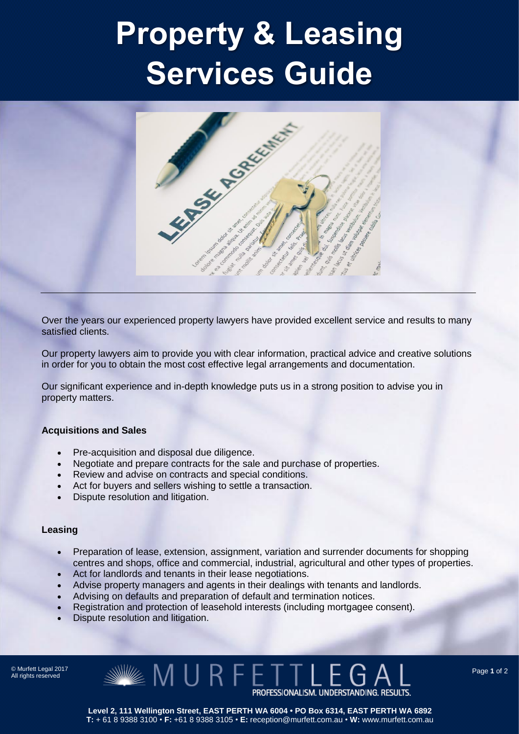## Property & Leasing Services Guide



Over the years our experienced property lawyers have provided excellent service and results to many satisfied clients.

Our property lawyers aim to provide you with clear information, practical advice and creative solutions in order for you to obtain the most cost effective legal arrangements and documentation.

Our significant experience and in-depth knowledge puts us in a strong position to advise you in property matters.

### **Acquisitions and Sales**

- Pre-acquisition and disposal due diligence.
- Negotiate and prepare contracts for the sale and purchase of properties.
- Review and advise on contracts and special conditions.
- Act for buvers and sellers wishing to settle a transaction.
- Dispute resolution and litigation.

### **Leasing**

- Preparation of lease, extension, assignment, variation and surrender documents for shopping centres and shops, office and commercial, industrial, agricultural and other types of properties.
- Act for landlords and tenants in their lease negotiations.
- Advise property managers and agents in their dealings with tenants and landlords.
- Advising on defaults and preparation of default and termination notices.
- Registration and protection of leasehold interests (including mortgagee consent).
- Dispute resolution and litigation.

© Murfett Legal 2017 All rights reserved

 $\mathbb{Z} \times \mathbb{M} \cup \mathsf{R}$  fetti PROFESSIONALISM. UNDERSTANDING. RESULTS.

**Level 2, 111 Wellington Street, EAST PERTH WA 6004 • PO Box 6314, EAST PERTH WA 6892 T:** + 61 8 9388 3100 • **F:** +61 8 9388 3105 • **E:** reception@murfett.com.au • **W:** www.murfett.com.au Page **1** of 2